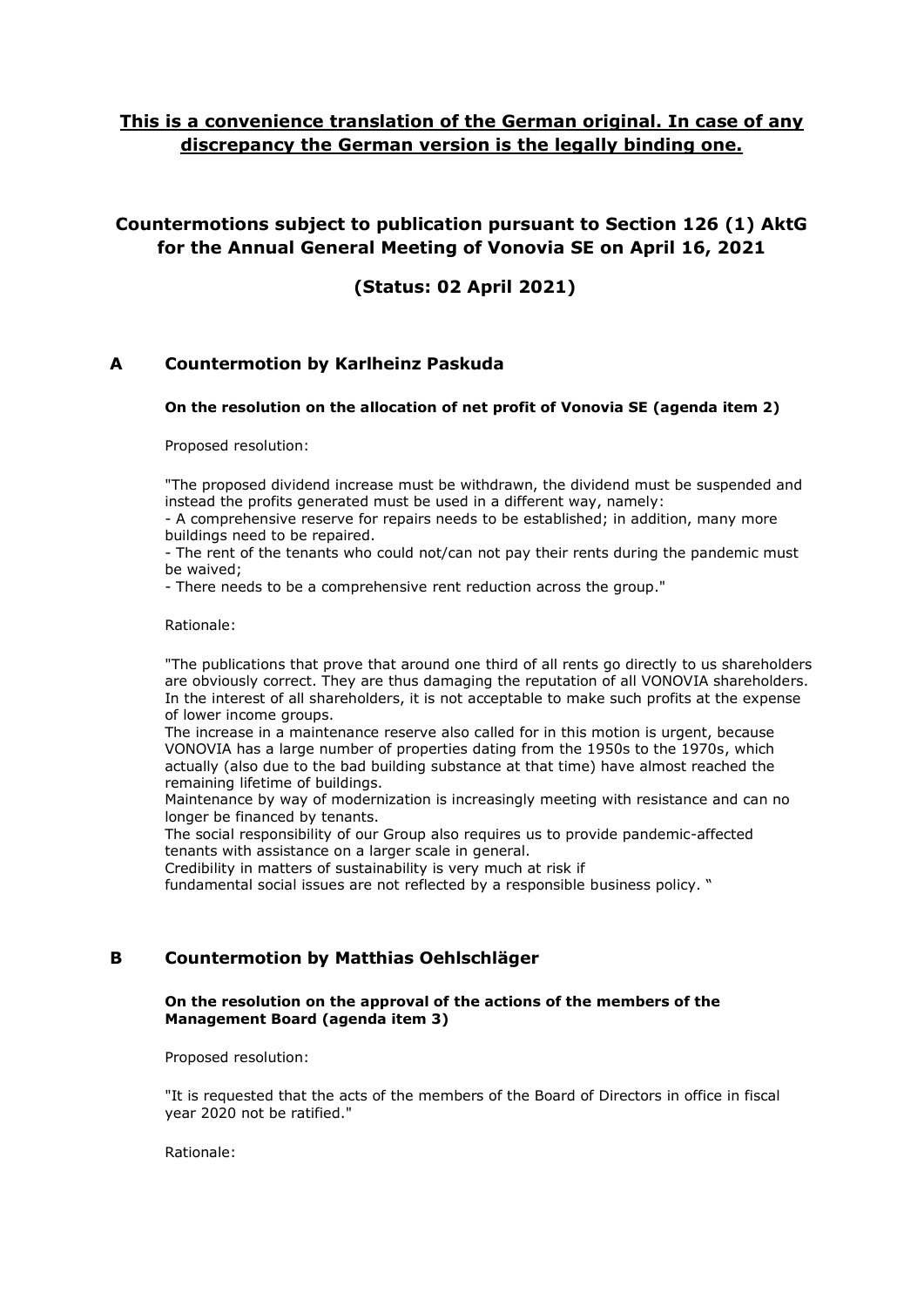# **This is a convenience translation of the German original. In case of any discrepancy the German version is the legally binding one.**

# **Countermotions subject to publication pursuant to Section 126 (1) AktG for the Annual General Meeting of Vonovia SE on April 16, 2021**

**(Status: 02 April 2021)**

## **A Countermotion by Karlheinz Paskuda**

## **On the resolution on the allocation of net profit of Vonovia SE (agenda item 2)**

Proposed resolution:

"The proposed dividend increase must be withdrawn, the dividend must be suspended and instead the profits generated must be used in a different way, namely:

- A comprehensive reserve for repairs needs to be established; in addition, many more buildings need to be repaired.

- The rent of the tenants who could not/can not pay their rents during the pandemic must be waived;

- There needs to be a comprehensive rent reduction across the group."

#### Rationale:

"The publications that prove that around one third of all rents go directly to us shareholders are obviously correct. They are thus damaging the reputation of all VONOVIA shareholders. In the interest of all shareholders, it is not acceptable to make such profits at the expense of lower income groups.

The increase in a maintenance reserve also called for in this motion is urgent, because VONOVIA has a large number of properties dating from the 1950s to the 1970s, which actually (also due to the bad building substance at that time) have almost reached the remaining lifetime of buildings.

Maintenance by way of modernization is increasingly meeting with resistance and can no longer be financed by tenants.

The social responsibility of our Group also requires us to provide pandemic-affected tenants with assistance on a larger scale in general.

Credibility in matters of sustainability is very much at risk if

fundamental social issues are not reflected by a responsible business policy. "

## **B Countermotion by Matthias Oehlschläger**

## **On the resolution on the approval of the actions of the members of the Management Board (agenda item 3)**

Proposed resolution:

"It is requested that the acts of the members of the Board of Directors in office in fiscal year 2020 not be ratified."

Rationale: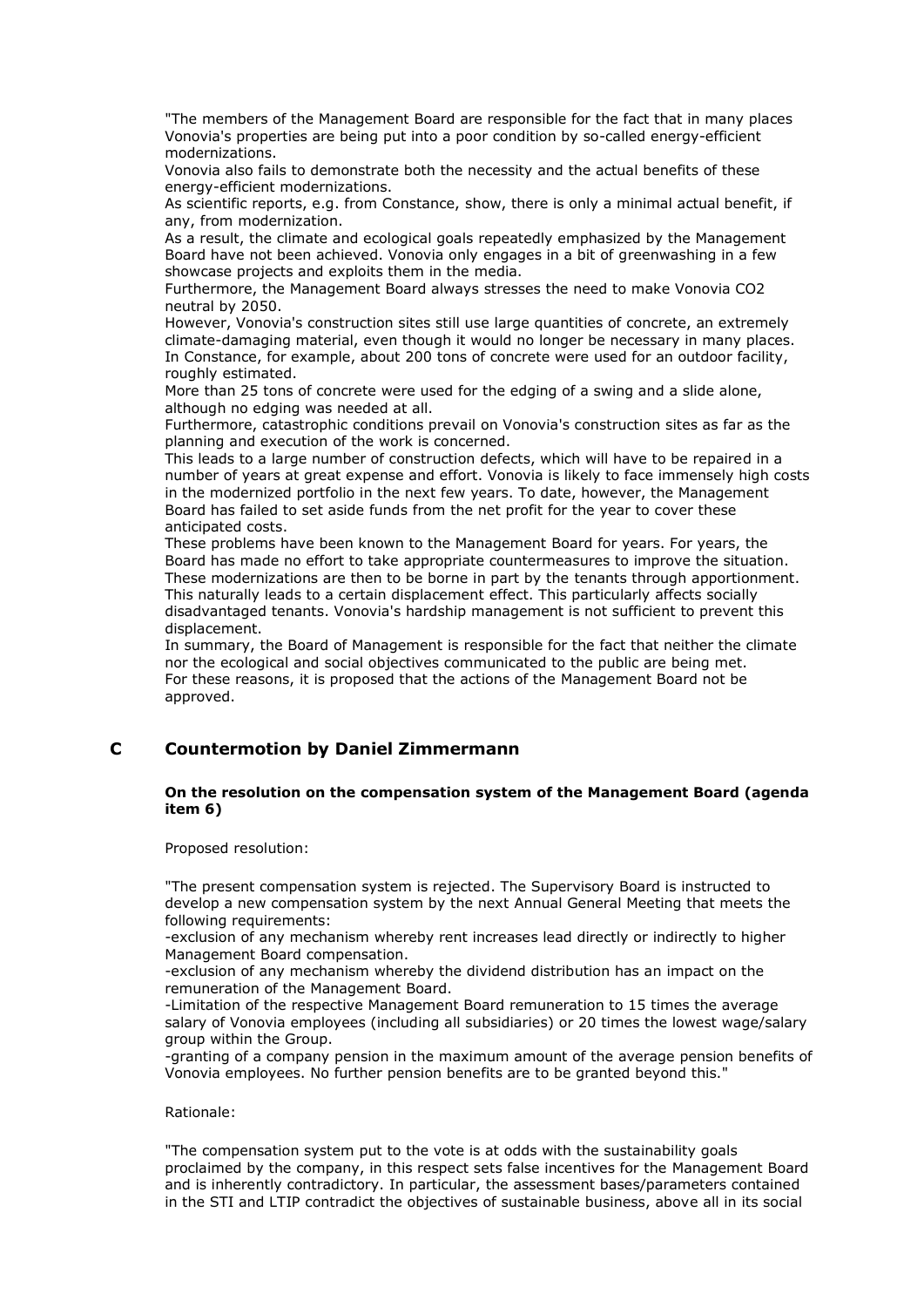"The members of the Management Board are responsible for the fact that in many places Vonovia's properties are being put into a poor condition by so-called energy-efficient modernizations.

Vonovia also fails to demonstrate both the necessity and the actual benefits of these energy-efficient modernizations.

As scientific reports, e.g. from Constance, show, there is only a minimal actual benefit, if any, from modernization.

As a result, the climate and ecological goals repeatedly emphasized by the Management Board have not been achieved. Vonovia only engages in a bit of greenwashing in a few showcase projects and exploits them in the media.

Furthermore, the Management Board always stresses the need to make Vonovia CO2 neutral by 2050.

However, Vonovia's construction sites still use large quantities of concrete, an extremely climate-damaging material, even though it would no longer be necessary in many places. In Constance, for example, about 200 tons of concrete were used for an outdoor facility, roughly estimated.

More than 25 tons of concrete were used for the edging of a swing and a slide alone, although no edging was needed at all.

Furthermore, catastrophic conditions prevail on Vonovia's construction sites as far as the planning and execution of the work is concerned.

This leads to a large number of construction defects, which will have to be repaired in a number of years at great expense and effort. Vonovia is likely to face immensely high costs in the modernized portfolio in the next few years. To date, however, the Management Board has failed to set aside funds from the net profit for the year to cover these anticipated costs.

These problems have been known to the Management Board for years. For years, the Board has made no effort to take appropriate countermeasures to improve the situation. These modernizations are then to be borne in part by the tenants through apportionment. This naturally leads to a certain displacement effect. This particularly affects socially disadvantaged tenants. Vonovia's hardship management is not sufficient to prevent this displacement.

In summary, the Board of Management is responsible for the fact that neither the climate nor the ecological and social objectives communicated to the public are being met. For these reasons, it is proposed that the actions of the Management Board not be approved.

## **C Countermotion by Daniel Zimmermann**

#### **On the resolution on the compensation system of the Management Board (agenda item 6)**

Proposed resolution:

"The present compensation system is rejected. The Supervisory Board is instructed to develop a new compensation system by the next Annual General Meeting that meets the following requirements:

-exclusion of any mechanism whereby rent increases lead directly or indirectly to higher Management Board compensation.

-exclusion of any mechanism whereby the dividend distribution has an impact on the remuneration of the Management Board.

-Limitation of the respective Management Board remuneration to 15 times the average salary of Vonovia employees (including all subsidiaries) or 20 times the lowest wage/salary group within the Group.

-granting of a company pension in the maximum amount of the average pension benefits of Vonovia employees. No further pension benefits are to be granted beyond this."

## Rationale:

"The compensation system put to the vote is at odds with the sustainability goals proclaimed by the company, in this respect sets false incentives for the Management Board and is inherently contradictory. In particular, the assessment bases/parameters contained in the STI and LTIP contradict the objectives of sustainable business, above all in its social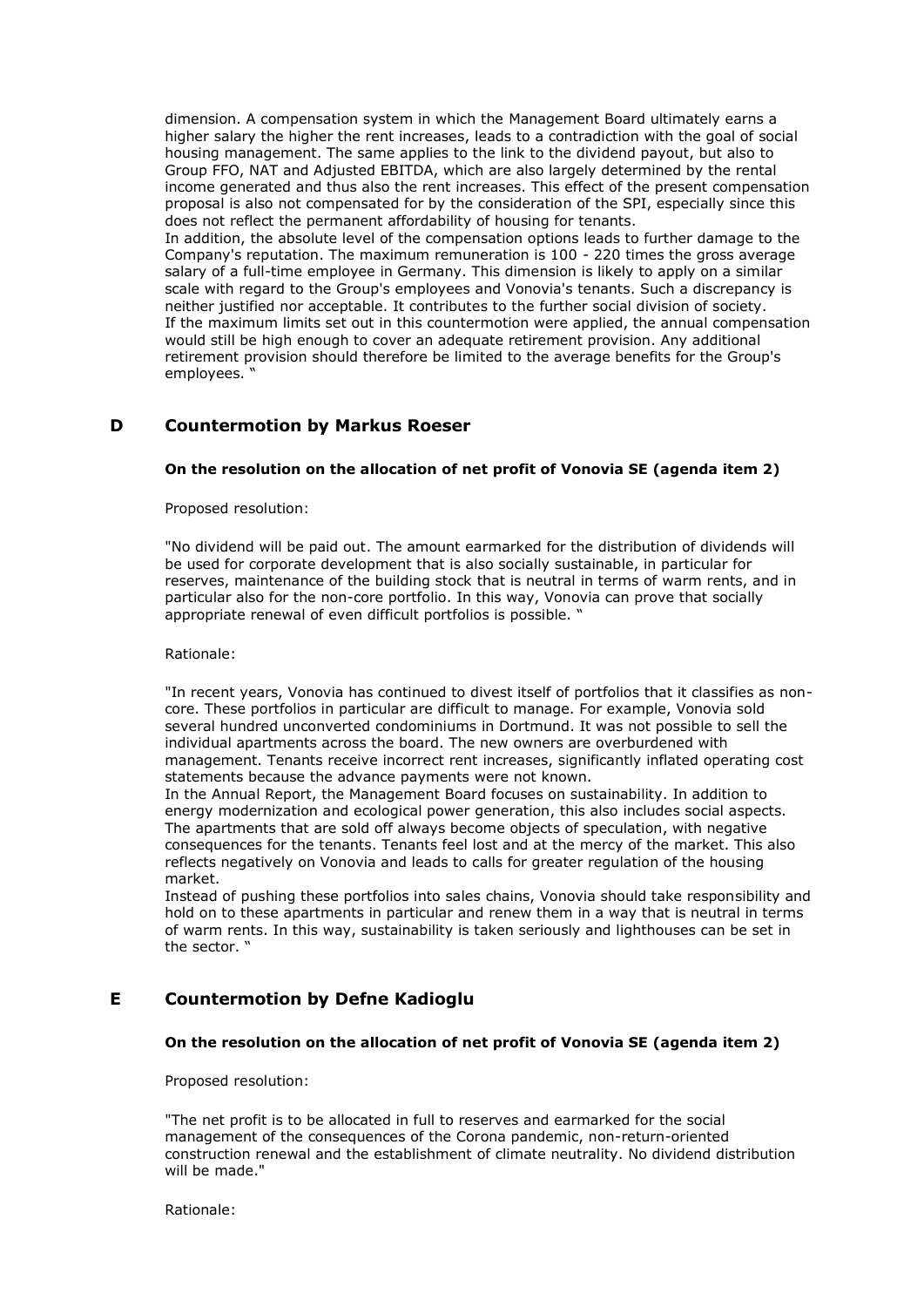dimension. A compensation system in which the Management Board ultimately earns a higher salary the higher the rent increases, leads to a contradiction with the goal of social housing management. The same applies to the link to the dividend payout, but also to Group FFO, NAT and Adjusted EBITDA, which are also largely determined by the rental income generated and thus also the rent increases. This effect of the present compensation proposal is also not compensated for by the consideration of the SPI, especially since this does not reflect the permanent affordability of housing for tenants.

In addition, the absolute level of the compensation options leads to further damage to the Company's reputation. The maximum remuneration is 100 - 220 times the gross average salary of a full-time employee in Germany. This dimension is likely to apply on a similar scale with regard to the Group's employees and Vonovia's tenants. Such a discrepancy is neither justified nor acceptable. It contributes to the further social division of society. If the maximum limits set out in this countermotion were applied, the annual compensation would still be high enough to cover an adequate retirement provision. Any additional retirement provision should therefore be limited to the average benefits for the Group's employees.

## **D Countermotion by Markus Roeser**

#### **On the resolution on the allocation of net profit of Vonovia SE (agenda item 2)**

Proposed resolution:

"No dividend will be paid out. The amount earmarked for the distribution of dividends will be used for corporate development that is also socially sustainable, in particular for reserves, maintenance of the building stock that is neutral in terms of warm rents, and in particular also for the non-core portfolio. In this way, Vonovia can prove that socially appropriate renewal of even difficult portfolios is possible. "

#### Rationale:

"In recent years, Vonovia has continued to divest itself of portfolios that it classifies as noncore. These portfolios in particular are difficult to manage. For example, Vonovia sold several hundred unconverted condominiums in Dortmund. It was not possible to sell the individual apartments across the board. The new owners are overburdened with management. Tenants receive incorrect rent increases, significantly inflated operating cost statements because the advance payments were not known.

In the Annual Report, the Management Board focuses on sustainability. In addition to energy modernization and ecological power generation, this also includes social aspects. The apartments that are sold off always become objects of speculation, with negative consequences for the tenants. Tenants feel lost and at the mercy of the market. This also reflects negatively on Vonovia and leads to calls for greater regulation of the housing market.

Instead of pushing these portfolios into sales chains, Vonovia should take responsibility and hold on to these apartments in particular and renew them in a way that is neutral in terms of warm rents. In this way, sustainability is taken seriously and lighthouses can be set in the sector. "

## **E Countermotion by Defne Kadioglu**

## **On the resolution on the allocation of net profit of Vonovia SE (agenda item 2)**

#### Proposed resolution:

"The net profit is to be allocated in full to reserves and earmarked for the social management of the consequences of the Corona pandemic, non-return-oriented construction renewal and the establishment of climate neutrality. No dividend distribution will be made."

Rationale: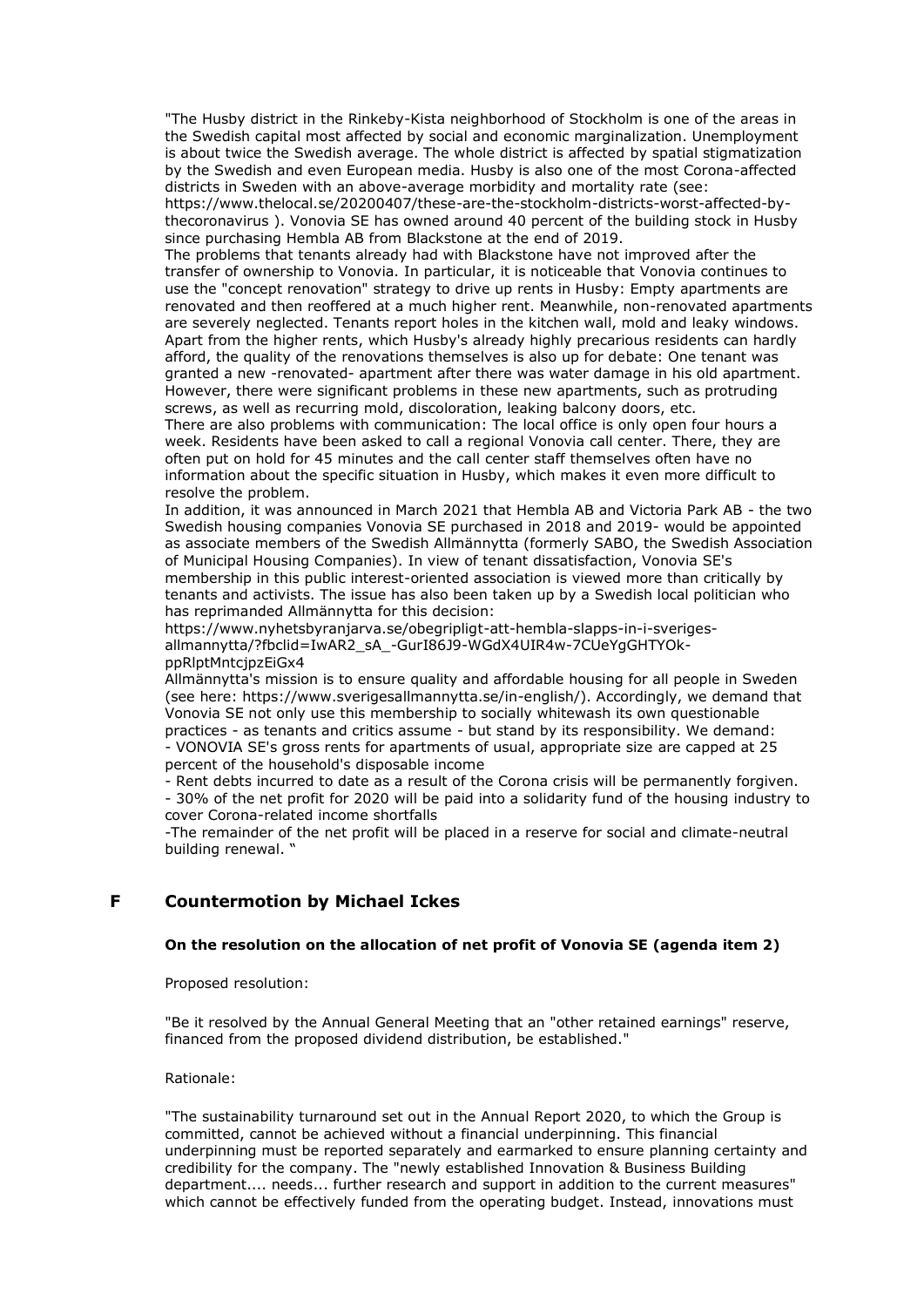"The Husby district in the Rinkeby-Kista neighborhood of Stockholm is one of the areas in the Swedish capital most affected by social and economic marginalization. Unemployment is about twice the Swedish average. The whole district is affected by spatial stigmatization by the Swedish and even European media. Husby is also one of the most Corona-affected districts in Sweden with an above-average morbidity and mortality rate (see:

https://www.thelocal.se/20200407/these-are-the-stockholm-districts-worst-affected-bythecoronavirus ). Vonovia SE has owned around 40 percent of the building stock in Husby since purchasing Hembla AB from Blackstone at the end of 2019.

The problems that tenants already had with Blackstone have not improved after the transfer of ownership to Vonovia. In particular, it is noticeable that Vonovia continues to use the "concept renovation" strategy to drive up rents in Husby: Empty apartments are renovated and then reoffered at a much higher rent. Meanwhile, non-renovated apartments are severely neglected. Tenants report holes in the kitchen wall, mold and leaky windows. Apart from the higher rents, which Husby's already highly precarious residents can hardly afford, the quality of the renovations themselves is also up for debate: One tenant was granted a new -renovated- apartment after there was water damage in his old apartment. However, there were significant problems in these new apartments, such as protruding screws, as well as recurring mold, discoloration, leaking balcony doors, etc.

There are also problems with communication: The local office is only open four hours a week. Residents have been asked to call a regional Vonovia call center. There, they are often put on hold for 45 minutes and the call center staff themselves often have no information about the specific situation in Husby, which makes it even more difficult to resolve the problem.

In addition, it was announced in March 2021 that Hembla AB and Victoria Park AB - the two Swedish housing companies Vonovia SE purchased in 2018 and 2019- would be appointed as associate members of the Swedish Allmännytta (formerly SABO, the Swedish Association of Municipal Housing Companies). In view of tenant dissatisfaction, Vonovia SE's membership in this public interest-oriented association is viewed more than critically by tenants and activists. The issue has also been taken up by a Swedish local politician who has reprimanded Allmännytta for this decision:

https://www.nyhetsbyranjarva.se/obegripligt-att-hembla-slapps-in-i-sverigesallmannytta/?fbclid=IwAR2\_sA\_-GurI86J9-WGdX4UIR4w-7CUeYgGHTYOkppRlptMntcjpzEiGx4

Allmännytta's mission is to ensure quality and affordable housing for all people in Sweden (see here: https://www.sverigesallmannytta.se/in-english/). Accordingly, we demand that Vonovia SE not only use this membership to socially whitewash its own questionable practices - as tenants and critics assume - but stand by its responsibility. We demand: - VONOVIA SE's gross rents for apartments of usual, appropriate size are capped at 25 percent of the household's disposable income

- Rent debts incurred to date as a result of the Corona crisis will be permanently forgiven. - 30% of the net profit for 2020 will be paid into a solidarity fund of the housing industry to cover Corona-related income shortfalls

-The remainder of the net profit will be placed in a reserve for social and climate-neutral building renewal. "

## **F Countermotion by Michael Ickes**

## **On the resolution on the allocation of net profit of Vonovia SE (agenda item 2)**

Proposed resolution:

"Be it resolved by the Annual General Meeting that an "other retained earnings" reserve, financed from the proposed dividend distribution, be established."

## Rationale:

"The sustainability turnaround set out in the Annual Report 2020, to which the Group is committed, cannot be achieved without a financial underpinning. This financial underpinning must be reported separately and earmarked to ensure planning certainty and credibility for the company. The "newly established Innovation & Business Building department.... needs... further research and support in addition to the current measures" which cannot be effectively funded from the operating budget. Instead, innovations must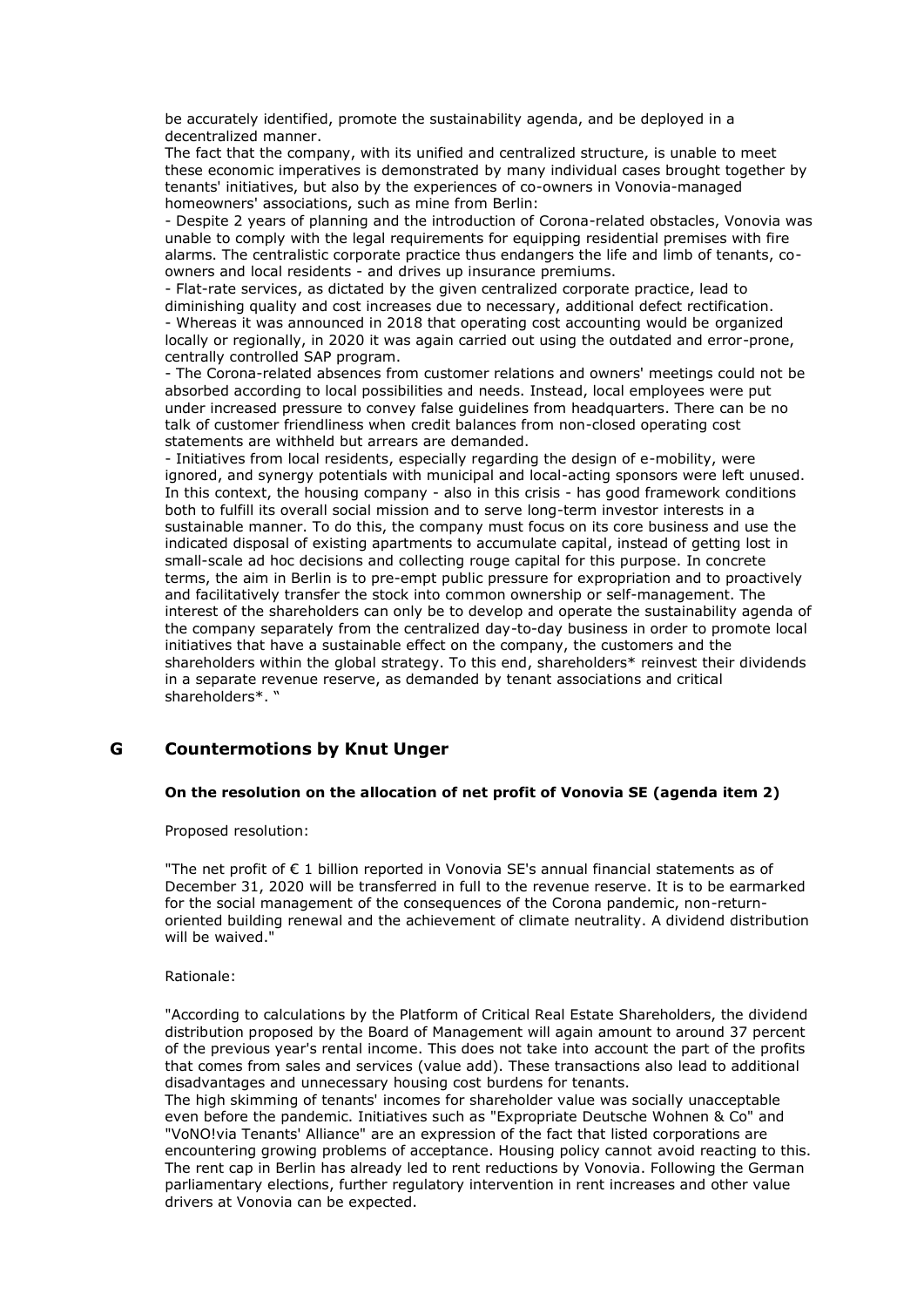be accurately identified, promote the sustainability agenda, and be deployed in a decentralized manner.

The fact that the company, with its unified and centralized structure, is unable to meet these economic imperatives is demonstrated by many individual cases brought together by tenants' initiatives, but also by the experiences of co-owners in Vonovia-managed homeowners' associations, such as mine from Berlin:

- Despite 2 years of planning and the introduction of Corona-related obstacles, Vonovia was unable to comply with the legal requirements for equipping residential premises with fire alarms. The centralistic corporate practice thus endangers the life and limb of tenants, coowners and local residents - and drives up insurance premiums.

- Flat-rate services, as dictated by the given centralized corporate practice, lead to diminishing quality and cost increases due to necessary, additional defect rectification. - Whereas it was announced in 2018 that operating cost accounting would be organized locally or regionally, in 2020 it was again carried out using the outdated and error-prone, centrally controlled SAP program.

- The Corona-related absences from customer relations and owners' meetings could not be absorbed according to local possibilities and needs. Instead, local employees were put under increased pressure to convey false guidelines from headquarters. There can be no talk of customer friendliness when credit balances from non-closed operating cost statements are withheld but arrears are demanded.

- Initiatives from local residents, especially regarding the design of e-mobility, were ignored, and synergy potentials with municipal and local-acting sponsors were left unused. In this context, the housing company - also in this crisis - has good framework conditions both to fulfill its overall social mission and to serve long-term investor interests in a sustainable manner. To do this, the company must focus on its core business and use the indicated disposal of existing apartments to accumulate capital, instead of getting lost in small-scale ad hoc decisions and collecting rouge capital for this purpose. In concrete terms, the aim in Berlin is to pre-empt public pressure for expropriation and to proactively and facilitatively transfer the stock into common ownership or self-management. The interest of the shareholders can only be to develop and operate the sustainability agenda of the company separately from the centralized day-to-day business in order to promote local initiatives that have a sustainable effect on the company, the customers and the shareholders within the global strategy. To this end, shareholders\* reinvest their dividends in a separate revenue reserve, as demanded by tenant associations and critical shareholders\*. "

## **G Countermotions by Knut Unger**

## **On the resolution on the allocation of net profit of Vonovia SE (agenda item 2)**

Proposed resolution:

"The net profit of  $\epsilon$  1 billion reported in Vonovia SE's annual financial statements as of December 31, 2020 will be transferred in full to the revenue reserve. It is to be earmarked for the social management of the consequences of the Corona pandemic, non-returnoriented building renewal and the achievement of climate neutrality. A dividend distribution will be waived."

## Rationale:

"According to calculations by the Platform of Critical Real Estate Shareholders, the dividend distribution proposed by the Board of Management will again amount to around 37 percent of the previous year's rental income. This does not take into account the part of the profits that comes from sales and services (value add). These transactions also lead to additional disadvantages and unnecessary housing cost burdens for tenants.

The high skimming of tenants' incomes for shareholder value was socially unacceptable even before the pandemic. Initiatives such as "Expropriate Deutsche Wohnen & Co" and "VoNO!via Tenants' Alliance" are an expression of the fact that listed corporations are encountering growing problems of acceptance. Housing policy cannot avoid reacting to this. The rent cap in Berlin has already led to rent reductions by Vonovia. Following the German parliamentary elections, further regulatory intervention in rent increases and other value drivers at Vonovia can be expected.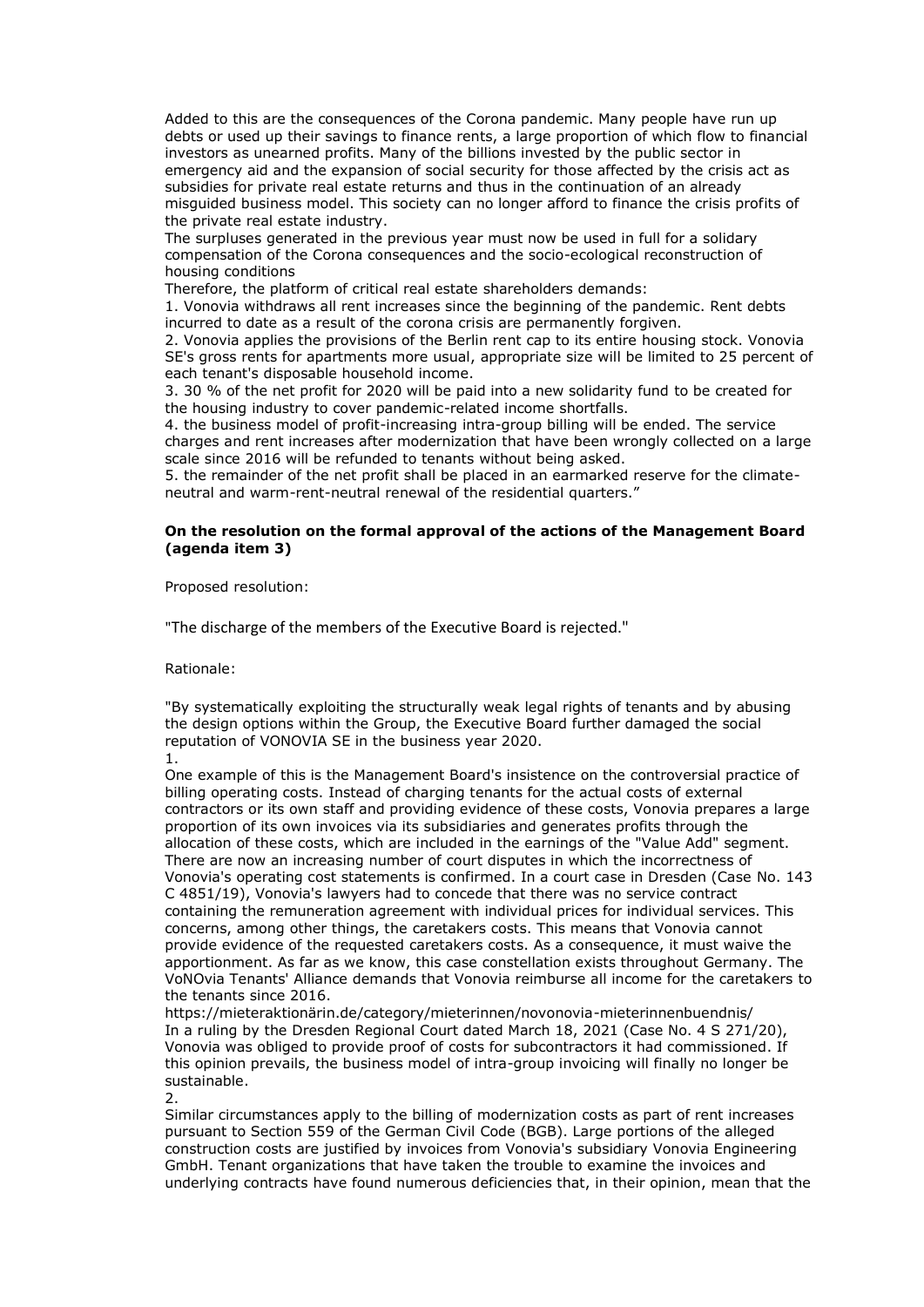Added to this are the consequences of the Corona pandemic. Many people have run up debts or used up their savings to finance rents, a large proportion of which flow to financial investors as unearned profits. Many of the billions invested by the public sector in emergency aid and the expansion of social security for those affected by the crisis act as subsidies for private real estate returns and thus in the continuation of an already misguided business model. This society can no longer afford to finance the crisis profits of the private real estate industry.

The surpluses generated in the previous year must now be used in full for a solidary compensation of the Corona consequences and the socio-ecological reconstruction of housing conditions

Therefore, the platform of critical real estate shareholders demands:

1. Vonovia withdraws all rent increases since the beginning of the pandemic. Rent debts incurred to date as a result of the corona crisis are permanently forgiven.

2. Vonovia applies the provisions of the Berlin rent cap to its entire housing stock. Vonovia SE's gross rents for apartments more usual, appropriate size will be limited to 25 percent of each tenant's disposable household income.

3. 30 % of the net profit for 2020 will be paid into a new solidarity fund to be created for the housing industry to cover pandemic-related income shortfalls.

4. the business model of profit-increasing intra-group billing will be ended. The service charges and rent increases after modernization that have been wrongly collected on a large scale since 2016 will be refunded to tenants without being asked.

5. the remainder of the net profit shall be placed in an earmarked reserve for the climateneutral and warm-rent-neutral renewal of the residential quarters."

## **On the resolution on the formal approval of the actions of the Management Board (agenda item 3)**

Proposed resolution:

"The discharge of the members of the Executive Board is rejected."

Rationale:

"By systematically exploiting the structurally weak legal rights of tenants and by abusing the design options within the Group, the Executive Board further damaged the social reputation of VONOVIA SE in the business year 2020.

1.

One example of this is the Management Board's insistence on the controversial practice of billing operating costs. Instead of charging tenants for the actual costs of external contractors or its own staff and providing evidence of these costs, Vonovia prepares a large proportion of its own invoices via its subsidiaries and generates profits through the allocation of these costs, which are included in the earnings of the "Value Add" segment. There are now an increasing number of court disputes in which the incorrectness of Vonovia's operating cost statements is confirmed. In a court case in Dresden (Case No. 143 C 4851/19), Vonovia's lawyers had to concede that there was no service contract containing the remuneration agreement with individual prices for individual services. This concerns, among other things, the caretakers costs. This means that Vonovia cannot provide evidence of the requested caretakers costs. As a consequence, it must waive the apportionment. As far as we know, this case constellation exists throughout Germany. The VoNOvia Tenants' Alliance demands that Vonovia reimburse all income for the caretakers to the tenants since 2016.

https://mieteraktionärin.de/category/mieterinnen/novonovia-mieterinnenbuendnis/ In a ruling by the Dresden Regional Court dated March 18, 2021 (Case No. 4 S 271/20), Vonovia was obliged to provide proof of costs for subcontractors it had commissioned. If this opinion prevails, the business model of intra-group invoicing will finally no longer be sustainable.

2.

Similar circumstances apply to the billing of modernization costs as part of rent increases pursuant to Section 559 of the German Civil Code (BGB). Large portions of the alleged construction costs are justified by invoices from Vonovia's subsidiary Vonovia Engineering GmbH. Tenant organizations that have taken the trouble to examine the invoices and underlying contracts have found numerous deficiencies that, in their opinion, mean that the